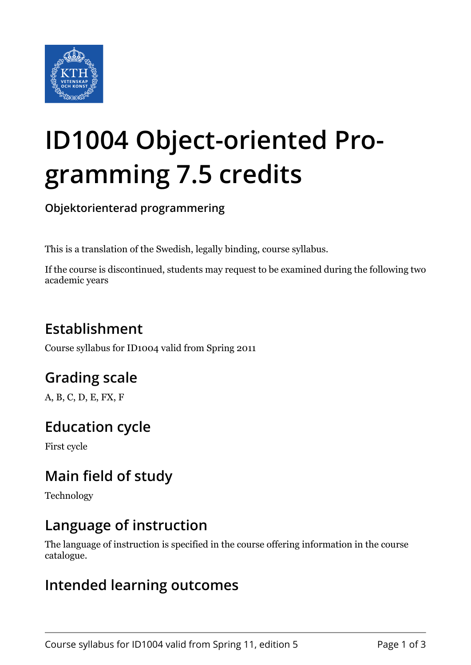

# **ID1004 Object-oriented Programming 7.5 credits**

**Objektorienterad programmering**

This is a translation of the Swedish, legally binding, course syllabus.

If the course is discontinued, students may request to be examined during the following two academic years

# **Establishment**

Course syllabus for ID1004 valid from Spring 2011

# **Grading scale**

A, B, C, D, E, FX, F

## **Education cycle**

First cycle

# **Main field of study**

Technology

## **Language of instruction**

The language of instruction is specified in the course offering information in the course catalogue.

### **Intended learning outcomes**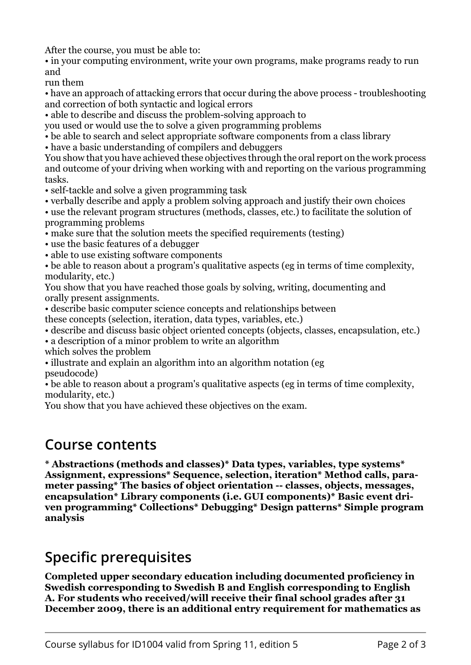After the course, you must be able to:

• in your computing environment, write your own programs, make programs ready to run and

run them

• have an approach of attacking errors that occur during the above process - troubleshooting and correction of both syntactic and logical errors

• able to describe and discuss the problem-solving approach to

you used or would use the to solve a given programming problems

• be able to search and select appropriate software components from a class library

• have a basic understanding of compilers and debuggers

You show that you have achieved these objectives through the oral report on the work process and outcome of your driving when working with and reporting on the various programming tasks.

• self-tackle and solve a given programming task

• verbally describe and apply a problem solving approach and justify their own choices

• use the relevant program structures (methods, classes, etc.) to facilitate the solution of programming problems

• make sure that the solution meets the specified requirements (testing)

• use the basic features of a debugger

• able to use existing software components

• be able to reason about a program's qualitative aspects (eg in terms of time complexity, modularity, etc.)

You show that you have reached those goals by solving, writing, documenting and orally present assignments.

• describe basic computer science concepts and relationships between

these concepts (selection, iteration, data types, variables, etc.)

• describe and discuss basic object oriented concepts (objects, classes, encapsulation, etc.)

• a description of a minor problem to write an algorithm

which solves the problem

• illustrate and explain an algorithm into an algorithm notation (eg pseudocode)

• be able to reason about a program's qualitative aspects (eg in terms of time complexity, modularity, etc.)

You show that you have achieved these objectives on the exam.

#### **Course contents**

\* Abstractions (methods and classes)\* Data types, variables, type systems\*  **Assignment, expressions\* Sequence, selection, iteration\* Method calls, para**meter passing\* The basics of object orientation -- classes, objects, messages, **moarger-incargior is encapsulation\* Library components (i.e. GUI components)\* Basic event dri**ven programming\* Collections\* Debugging\* Design patterns\* Simple program analysis

## **Specific prerequisites**

**Completed upper secondary education including documented proficiency in** *<u>swedish corresponding to Swedish B and English corresponding to English*</u> **A. For students who received/will receive their final school grades after 31 December 2009, there is an additional entry requirement for mathematics as**